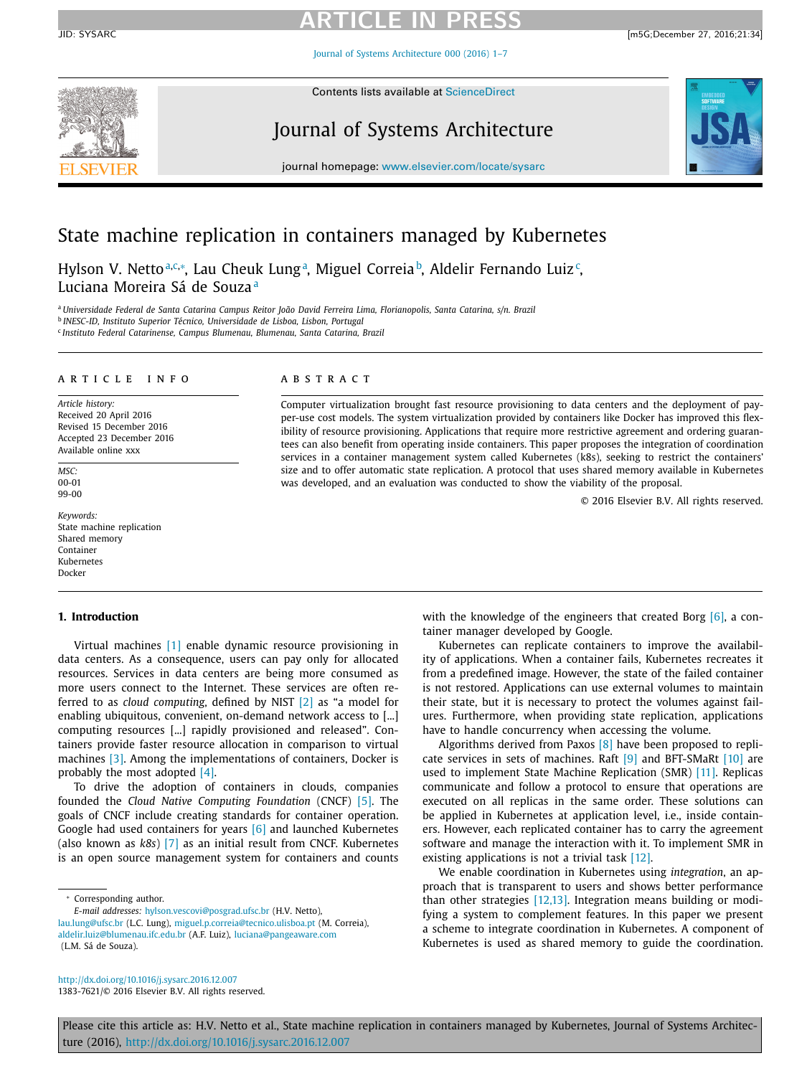Journal of Systems [Architecture](http://dx.doi.org/10.1016/j.sysarc.2016.12.007) 000 (2016) 1–7



Contents lists available at [ScienceDirect](http://www.ScienceDirect.com)

## Journal of Systems Architecture



journal homepage: [www.elsevier.com/locate/sysarc](http://www.elsevier.com/locate/sysarc)

### State machine replication in containers managed by Kubernetes

Hylson V. Nettoª,¢,\*, Lau Cheuk Lungª, Miguel Correia<sup>b</sup>, Aldelir Fernando Luiz<sup>c</sup>, Luciana Moreira Sá de Souza<sup>a</sup>

a Universidade Federal de Santa Catarina Campus Reitor João David Ferreira Lima, Florianopolis, Santa Catarina, s/n. Brazil <sup>b</sup> *INESC-ID, Instituto Superior Técnico, Universidade de Lisboa, Lisbon, Portugal*

<sup>c</sup> *Instituto Federal Catarinense, Campus Blumenau, Blumenau, Santa Catarina, Brazil*

#### A R T I C L E I N F O

*Article history:* Received 20 April 2016 Revised 15 December 2016 Accepted 23 December 2016 Available online xxx

*MSC:* 00-01 99-00

*Keywords:* State machine replication Shared memory Container Kubernetes Docker

#### **1. Introduction**

Virtual machines [\[1\]](#page-5-0) enable dynamic resource provisioning in data centers. As a consequence, users can pay only for allocated resources. Services in data centers are being more consumed as more users connect to the Internet. These services are often referred to as *cloud computing*, defined by NIST [\[2\]](#page-5-0) as "a model for enabling ubiquitous, convenient, on-demand network access to [...] computing resources [...] rapidly provisioned and released". Containers provide faster resource allocation in comparison to virtual machines [\[3\].](#page-5-0) Among the implementations of containers, Docker is probably the most adopted [\[4\].](#page-5-0)

To drive the adoption of containers in clouds, companies founded the *Cloud Native Computing Foundation* (CNCF) [\[5\].](#page-5-0) The goals of CNCF include creating standards for container operation. Google had used containers for years [\[6\]](#page-5-0) and launched Kubernetes (also known as *k8s*) [\[7\]](#page-5-0) as an initial result from CNCF. Kubernetes is an open source management system for containers and counts

Corresponding author.

*E-mail addresses:* [hylson.vescovi@posgrad.ufsc.br](mailto:hylson.vescovi@posgrad.ufsc.br) (H.V. Netto), lau.lung@ufsc.br (L.C. Lung), [miguel.p.correia@tecnico.ulisboa.pt](mailto:lau.lung@ufsc.br) (M. Correia), [aldelir.luiz@blumenau.ifc.edu.br](mailto:luciana@pangeaware.com) (A.F. Luiz), luciana@pangeaware.com (L.M. Sá de Souza).

A B S T R A C T

Computer virtualization brought fast resource provisioning to data centers and the deployment of payper-use cost models. The system virtualization provided by containers like Docker has improved this flexibility of resource provisioning. Applications that require more restrictive agreement and ordering guarantees can also benefit from operating inside containers. This paper proposes the integration of coordination services in a container management system called Kubernetes (k8s), seeking to restrict the containers' size and to offer automatic state replication. A protocol that uses shared memory available in Kubernetes was developed, and an evaluation was conducted to show the viability of the proposal.

© 2016 Elsevier B.V. All rights reserved.

with the knowledge of the engineers that created Borg  $[6]$ , a container manager developed by Google.

Kubernetes can replicate containers to improve the availability of applications. When a container fails, Kubernetes recreates it from a predefined image. However, the state of the failed container is not restored. Applications can use external volumes to maintain their state, but it is necessary to protect the volumes against failures. Furthermore, when providing state replication, applications have to handle concurrency when accessing the volume.

Algorithms derived from Paxos [\[8\]](#page-5-0) have been proposed to replicate services in sets of machines. Raft  $[9]$  and BFT-SMaRt  $[10]$  are used to implement State Machine Replication (SMR) [\[11\].](#page-5-0) Replicas communicate and follow a protocol to ensure that operations are executed on all replicas in the same order. These solutions can be applied in Kubernetes at application level, i.e., inside containers. However, each replicated container has to carry the agreement software and manage the interaction with it. To implement SMR in existing applications is not a trivial task [\[12\].](#page-5-0)

We enable coordination in Kubernetes using *integration*, an approach that is transparent to users and shows better performance than other strategies [\[12,13\].](#page-5-0) Integration means building or modifying a system to complement features. In this paper we present a scheme to integrate coordination in Kubernetes. A component of Kubernetes is used as shared memory to guide the coordination.

<http://dx.doi.org/10.1016/j.sysarc.2016.12.007> 1383-7621/© 2016 Elsevier B.V. All rights reserved.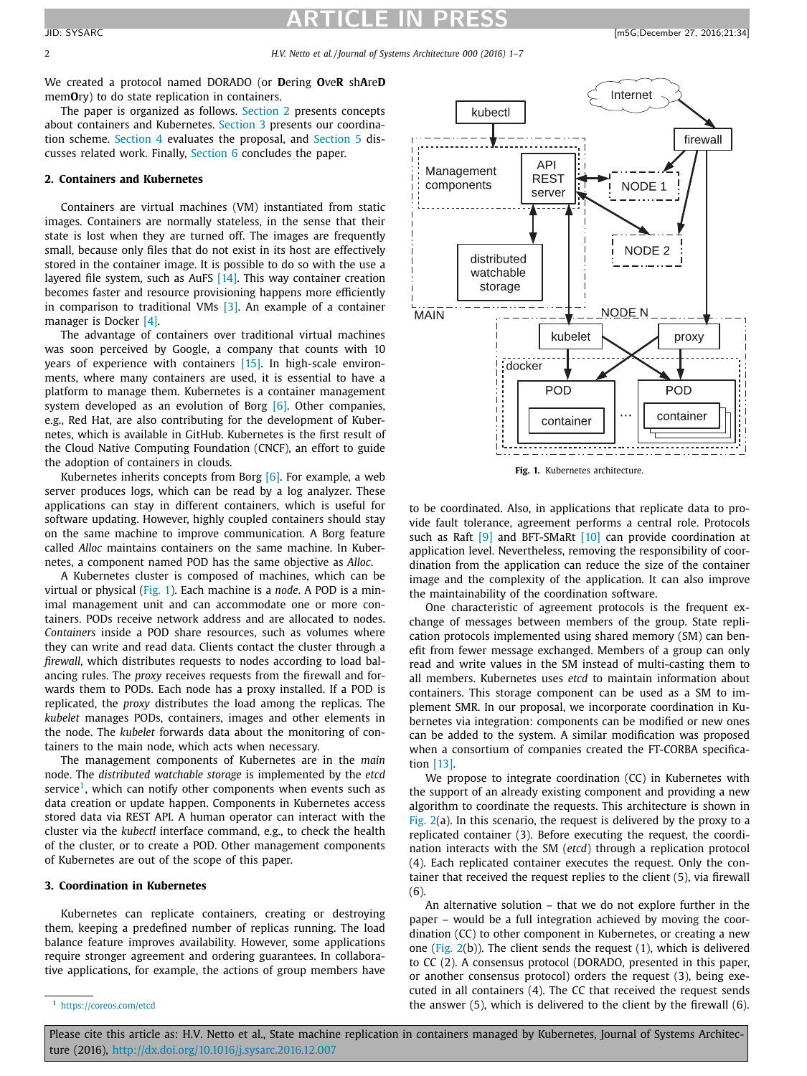2 *H.V. Netto et al. / Journal of Systems Architecture 000 (2016) 1–7*

We created a protocol named DORADO (or **D**ering **O**ve**R** sh**A**re**D** mem**O**ry) to do state replication in containers.

The paper is organized as follows. Section 2 presents concepts about containers and Kubernetes. Section 3 presents our coordination scheme. [Section](#page-3-0) 4 evaluates the proposal, and [Section](#page-4-0) 5 discusses related work. Finally, [Section](#page-4-0) 6 concludes the paper.

#### **2. Containers and Kubernetes**

Containers are virtual machines (VM) instantiated from static images. Containers are normally stateless, in the sense that their state is lost when they are turned off. The images are frequently small, because only files that do not exist in its host are effectively stored in the container image. It is possible to do so with the use a layered file system, such as AuFS [\[14\].](#page-5-0) This way container creation becomes faster and resource provisioning happens more efficiently in comparison to traditional VMs  $[3]$ . An example of a container manager is Docker [\[4\].](#page-5-0)

The advantage of containers over traditional virtual machines was soon perceived by Google, a company that counts with 10 years of experience with containers [\[15\].](#page-5-0) In high-scale environments, where many containers are used, it is essential to have a platform to manage them. Kubernetes is a container management system developed as an evolution of Borg [\[6\].](#page-5-0) Other companies, e.g., Red Hat, are also contributing for the development of Kubernetes, which is available in GitHub. Kubernetes is the first result of the Cloud Native Computing Foundation (CNCF), an effort to guide the adoption of containers in clouds.

Kubernetes inherits concepts from Borg [\[6\].](#page-5-0) For example, a web server produces logs, which can be read by a log analyzer. These applications can stay in different containers, which is useful for software updating. However, highly coupled containers should stay on the same machine to improve communication. A Borg feature called *Alloc* maintains containers on the same machine. In Kubernetes, a component named POD has the same objective as *Alloc*.

A Kubernetes cluster is composed of machines, which can be virtual or physical (Fig. 1). Each machine is a *node*. A POD is a minimal management unit and can accommodate one or more containers. PODs receive network address and are allocated to nodes. *Containers* inside a POD share resources, such as volumes where they can write and read data. Clients contact the cluster through a *firewall*, which distributes requests to nodes according to load balancing rules. The *proxy* receives requests from the firewall and forwards them to PODs. Each node has a proxy installed. If a POD is replicated, the *proxy* distributes the load among the replicas. The *kubelet* manages PODs, containers, images and other elements in the node. The *kubelet* forwards data about the monitoring of containers to the main node, which acts when necessary.

The management components of Kubernetes are in the *main* node. The *distributed watchable storage* is implemented by the *etcd* service<sup>1</sup>, which can notify other components when events such as data creation or update happen. Components in Kubernetes access stored data via REST API. A human operator can interact with the cluster via the *kubectl* interface command, e.g., to check the health of the cluster, or to create a POD. Other management components of Kubernetes are out of the scope of this paper.

#### **3. Coordination in Kubernetes**

Kubernetes can replicate containers, creating or destroying them, keeping a predefined number of replicas running. The load balance feature improves availability. However, some applications require stronger agreement and ordering guarantees. In collaborative applications, for example, the actions of group members have



**Fig. 1.** Kubernetes architecture.

to be coordinated. Also, in applications that replicate data to provide fault tolerance, agreement performs a central role. Protocols such as Raft [\[9\]](#page-5-0) and BFT-SMaRt [\[10\]](#page-5-0) can provide coordination at application level. Nevertheless, removing the responsibility of coordination from the application can reduce the size of the container image and the complexity of the application. It can also improve the maintainability of the coordination software.

One characteristic of agreement protocols is the frequent exchange of messages between members of the group. State replication protocols implemented using shared memory (SM) can benefit from fewer message exchanged. Members of a group can only read and write values in the SM instead of multi-casting them to all members. Kubernetes uses *etcd* to maintain information about containers. This storage component can be used as a SM to implement SMR. In our proposal, we incorporate coordination in Kubernetes via integration: components can be modified or new ones can be added to the system. A similar modification was proposed when a consortium of companies created the FT-CORBA specification [\[13\].](#page-5-0)

We propose to integrate coordination (CC) in Kubernetes with the support of an already existing component and providing a new algorithm to coordinate the requests. This architecture is shown in [Fig.](#page-2-0)  $2(a)$ . In this scenario, the request is delivered by the proxy to a replicated container (3). Before executing the request, the coordination interacts with the SM (*etcd*) through a replication protocol (4). Each replicated container executes the request. Only the container that received the request replies to the client (5), via firewall (6).

An alternative solution – that we do not explore further in the paper – would be a full integration achieved by moving the coordination (CC) to other component in Kubernetes, or creating a new one [\(Fig.](#page-2-0) 2(b)). The client sends the request (1), which is delivered to CC (2). A consensus protocol (DORADO, presented in this paper, or another consensus protocol) orders the request (3), being executed in all containers (4). The CC that received the request sends the answer (5), which is delivered to the client by the firewall (6).

<sup>1</sup> <https://coreos.com/etcd>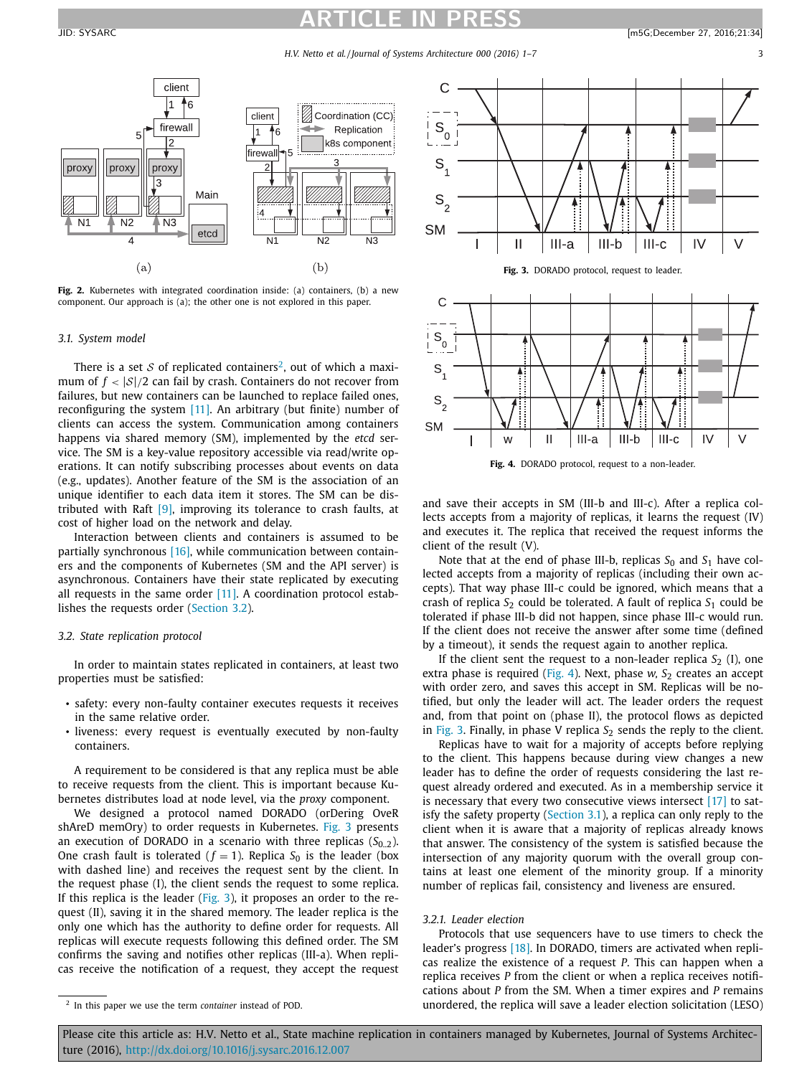### <span id="page-2-0"></span>**ARTICLE IN PRESS** JID: SYSARC [m5G;December 27, 2016;21:34]



**Fig. 2.** Kubernetes with integrated coordination inside: (a) containers, (b) a new component. Our approach is (a); the other one is not explored in this paper.

#### *3.1. System model*

There is a set  $S$  of replicated containers<sup>2</sup>, out of which a maximum of  $f < |\mathcal{S}|/2$  can fail by crash. Containers do not recover from failures, but new containers can be launched to replace failed ones, reconfiguring the system [\[11\].](#page-5-0) An arbitrary (but finite) number of clients can access the system. Communication among containers happens via shared memory (SM), implemented by the *etcd* service. The SM is a key-value repository accessible via read/write operations. It can notify subscribing processes about events on data (e.g., updates). Another feature of the SM is the association of an unique identifier to each data item it stores. The SM can be distributed with Raft [\[9\],](#page-5-0) improving its tolerance to crash faults, at cost of higher load on the network and delay.

Interaction between clients and containers is assumed to be partially synchronous [\[16\],](#page-5-0) while communication between containers and the components of Kubernetes (SM and the API server) is asynchronous. Containers have their state replicated by executing all requests in the same order  $[11]$ . A coordination protocol establishes the requests order (Section 3.2).

#### *3.2. State replication protocol*

In order to maintain states replicated in containers, at least two properties must be satisfied:

- safety: every non-faulty container executes requests it receives in the same relative order.
- liveness: every request is eventually executed by non-faulty containers.

A requirement to be considered is that any replica must be able to receive requests from the client. This is important because Kubernetes distributes load at node level, via the *proxy* component.

We designed a protocol named DORADO (orDering OveR shAreD memOry) to order requests in Kubernetes. Fig. 3 presents an execution of DORADO in a scenario with three replicas  $(S_0, \sigma)$ . One crash fault is tolerated ( $f = 1$ ). Replica  $S_0$  is the leader (box with dashed line) and receives the request sent by the client. In the request phase (I), the client sends the request to some replica. If this replica is the leader (Fig. 3), it proposes an order to the request (II), saving it in the shared memory. The leader replica is the only one which has the authority to define order for requests. All replicas will execute requests following this defined order. The SM confirms the saving and notifies other replicas (III-a). When replicas receive the notification of a request, they accept the request





**Fig. 4.** DORADO protocol, request to a non-leader.

and save their accepts in SM (III-b and III-c). After a replica collects accepts from a majority of replicas, it learns the request (IV) and executes it. The replica that received the request informs the client of the result (V).

Note that at the end of phase III-b, replicas  $S_0$  and  $S_1$  have collected accepts from a majority of replicas (including their own accepts). That way phase III-c could be ignored, which means that a crash of replica  $S_2$  could be tolerated. A fault of replica  $S_1$  could be tolerated if phase III-b did not happen, since phase III-c would run. If the client does not receive the answer after some time (defined by a timeout), it sends the request again to another replica.

If the client sent the request to a non-leader replica  $S_2$  (I), one extra phase is required (Fig. 4). Next, phase  $w$ ,  $S<sub>2</sub>$  creates an accept with order zero, and saves this accept in SM. Replicas will be notified, but only the leader will act. The leader orders the request and, from that point on (phase II), the protocol flows as depicted in Fig. 3. Finally, in phase V replica  $S_2$  sends the reply to the client.

Replicas have to wait for a majority of accepts before replying to the client. This happens because during view changes a new leader has to define the order of requests considering the last request already ordered and executed. As in a membership service it is necessary that every two consecutive views intersect  $[17]$  to satisfy the safety property (Section 3.1), a replica can only reply to the client when it is aware that a majority of replicas already knows that answer. The consistency of the system is satisfied because the intersection of any majority quorum with the overall group contains at least one element of the minority group. If a minority number of replicas fail, consistency and liveness are ensured.

#### *3.2.1. Leader election*

Protocols that use sequencers have to use timers to check the leader's progress [\[18\].](#page-5-0) In DORADO, timers are activated when replicas realize the existence of a request *P*. This can happen when a replica receives *P* from the client or when a replica receives notifications about *P* from the SM. When a timer expires and *P* remains unordered, the replica will save a leader election solicitation (LESO)

<sup>2</sup> In this paper we use the term *container* instead of POD.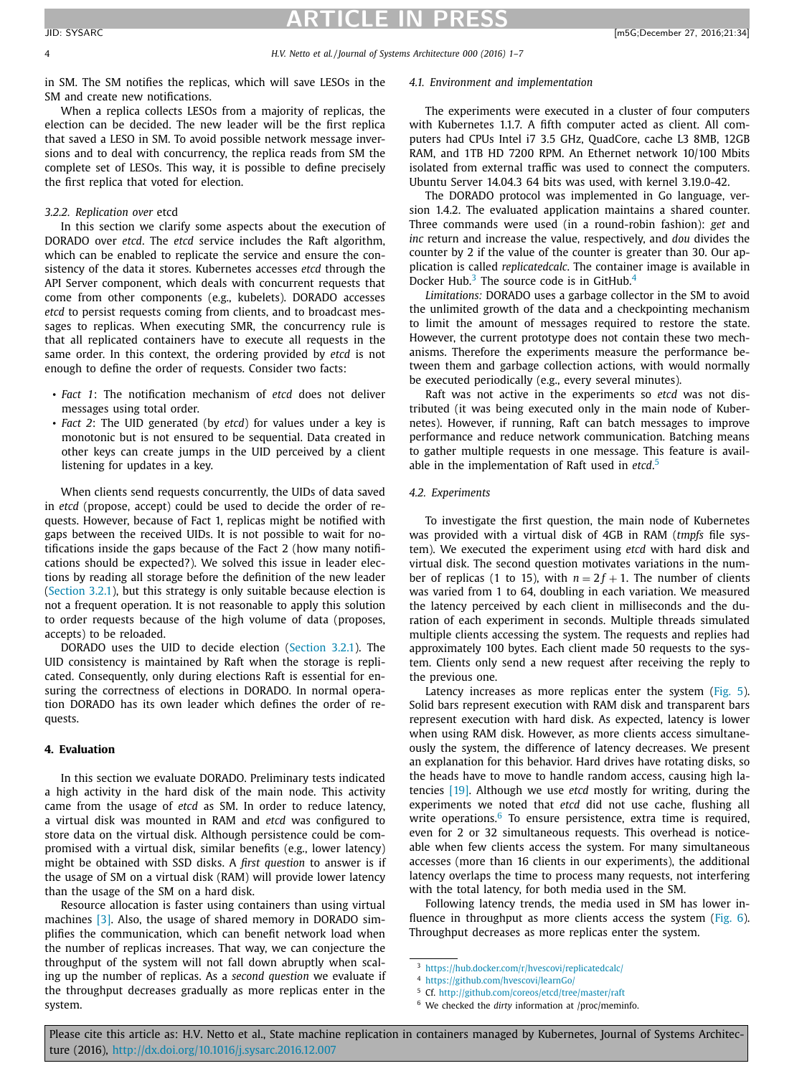<span id="page-3-0"></span>4 *H.V. Netto et al. / Journal of Systems Architecture 000 (2016) 1–7*

in SM. The SM notifies the replicas, which will save LESOs in the SM and create new notifications.

When a replica collects LESOs from a majority of replicas, the election can be decided. The new leader will be the first replica that saved a LESO in SM. To avoid possible network message inversions and to deal with concurrency, the replica reads from SM the complete set of LESOs. This way, it is possible to define precisely the first replica that voted for election.

#### *3.2.2. Replication over* etcd

In this section we clarify some aspects about the execution of DORADO over *etcd*. The *etcd* service includes the Raft algorithm, which can be enabled to replicate the service and ensure the consistency of the data it stores. Kubernetes accesses *etcd* through the API Server component, which deals with concurrent requests that come from other components (e.g., kubelets). DORADO accesses *etcd* to persist requests coming from clients, and to broadcast messages to replicas. When executing SMR, the concurrency rule is that all replicated containers have to execute all requests in the same order. In this context, the ordering provided by *etcd* is not enough to define the order of requests. Consider two facts:

- *Fact 1*: The notification mechanism of *etcd* does not deliver messages using total order.
- *Fact 2*: The UID generated (by *etcd*) for values under a key is monotonic but is not ensured to be sequential. Data created in other keys can create jumps in the UID perceived by a client listening for updates in a key.

When clients send requests concurrently, the UIDs of data saved in *etcd* (propose, accept) could be used to decide the order of requests. However, because of Fact 1, replicas might be notified with gaps between the received UIDs. It is not possible to wait for notifications inside the gaps because of the Fact 2 (how many notifications should be expected?). We solved this issue in leader elections by reading all storage before the definition of the new leader [\(Section](#page-2-0) 3.2.1), but this strategy is only suitable because election is not a frequent operation. It is not reasonable to apply this solution to order requests because of the high volume of data (proposes, accepts) to be reloaded.

DORADO uses the UID to decide election [\(Section](#page-2-0) 3.2.1). The UID consistency is maintained by Raft when the storage is replicated. Consequently, only during elections Raft is essential for ensuring the correctness of elections in DORADO. In normal operation DORADO has its own leader which defines the order of requests.

#### **4. Evaluation**

In this section we evaluate DORADO. Preliminary tests indicated a high activity in the hard disk of the main node. This activity came from the usage of *etcd* as SM. In order to reduce latency, a virtual disk was mounted in RAM and *etcd* was configured to store data on the virtual disk. Although persistence could be compromised with a virtual disk, similar benefits (e.g., lower latency) might be obtained with SSD disks. A *first question* to answer is if the usage of SM on a virtual disk (RAM) will provide lower latency than the usage of the SM on a hard disk.

Resource allocation is faster using containers than using virtual machines [\[3\].](#page-5-0) Also, the usage of shared memory in DORADO simplifies the communication, which can benefit network load when the number of replicas increases. That way, we can conjecture the throughput of the system will not fall down abruptly when scaling up the number of replicas. As a *second question* we evaluate if the throughput decreases gradually as more replicas enter in the system.

#### *4.1. Environment and implementation*

The experiments were executed in a cluster of four computers with Kubernetes 1.1.7. A fifth computer acted as client. All computers had CPUs Intel i7 3.5 GHz, QuadCore, cache L3 8MB, 12GB RAM, and 1TB HD 7200 RPM. An Ethernet network 10/100 Mbits isolated from external traffic was used to connect the computers. Ubuntu Server 14.04.3 64 bits was used, with kernel 3.19.0-42.

The DORADO protocol was implemented in Go language, version 1.4.2. The evaluated application maintains a shared counter. Three commands were used (in a round-robin fashion): *get* and *inc* return and increase the value, respectively, and *dou* divides the counter by 2 if the value of the counter is greater than 30. Our application is called *replicatedcalc*. The container image is available in Docker Hub. $3$  The source code is in GitHub. $4$ 

*Limitations:* DORADO uses a garbage collector in the SM to avoid the unlimited growth of the data and a checkpointing mechanism to limit the amount of messages required to restore the state. However, the current prototype does not contain these two mechanisms. Therefore the experiments measure the performance between them and garbage collection actions, with would normally be executed periodically (e.g., every several minutes).

Raft was not active in the experiments so *etcd* was not distributed (it was being executed only in the main node of Kubernetes). However, if running, Raft can batch messages to improve performance and reduce network communication. Batching means to gather multiple requests in one message. This feature is available in the implementation of Raft used in *etcd*. 5

#### *4.2. Experiments*

To investigate the first question, the main node of Kubernetes was provided with a virtual disk of 4GB in RAM (*tmpfs* file system). We executed the experiment using *etcd* with hard disk and virtual disk. The second question motivates variations in the number of replicas (1 to 15), with  $n = 2f + 1$ . The number of clients was varied from 1 to 64, doubling in each variation. We measured the latency perceived by each client in milliseconds and the duration of each experiment in seconds. Multiple threads simulated multiple clients accessing the system. The requests and replies had approximately 100 bytes. Each client made 50 requests to the system. Clients only send a new request after receiving the reply to the previous one.

Latency increases as more replicas enter the system [\(Fig.](#page-4-0) 5). Solid bars represent execution with RAM disk and transparent bars represent execution with hard disk. As expected, latency is lower when using RAM disk. However, as more clients access simultaneously the system, the difference of latency decreases. We present an explanation for this behavior. Hard drives have rotating disks, so the heads have to move to handle random access, causing high latencies [\[19\].](#page-5-0) Although we use *etcd* mostly for writing, during the experiments we noted that *etcd* did not use cache, flushing all write operations. $6\text{ To ensure persistence, extra time is required,}$ even for 2 or 32 simultaneous requests. This overhead is noticeable when few clients access the system. For many simultaneous accesses (more than 16 clients in our experiments), the additional latency overlaps the time to process many requests, not interfering with the total latency, for both media used in the SM.

Following latency trends, the media used in SM has lower in-fluence in throughput as more clients access the system [\(Fig.](#page-4-0) 6). Throughput decreases as more replicas enter the system.

<sup>3</sup> <https://hub.docker.com/r/hvescovi/replicatedcalc/>

<sup>4</sup> <https://github.com/hvescovi/learnGo/>

<sup>5</sup> Cf. <http://github.com/coreos/etcd/tree/master/raft>

<sup>6</sup> We checked the *dirty* information at /proc/meminfo.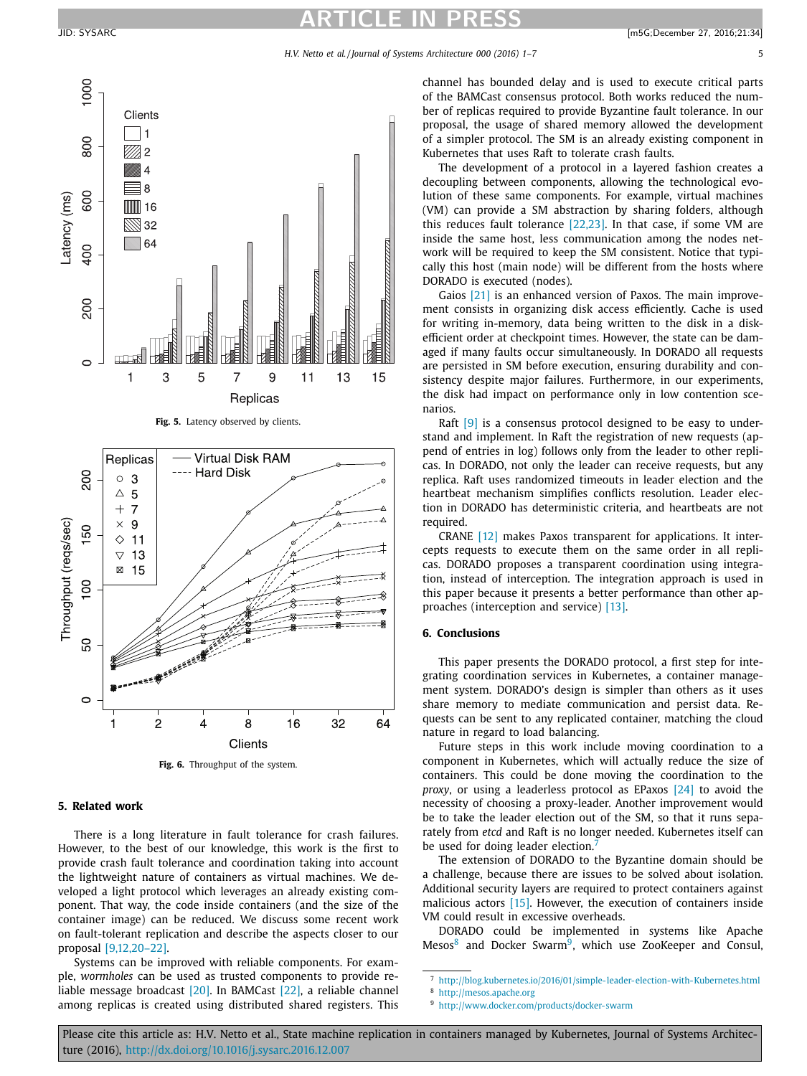<span id="page-4-0"></span>

**Fig. 5.** Latency observed by clients.



**Fig. 6.** Throughput of the system.

### **5. Related work**

There is a long literature in fault tolerance for crash failures. However, to the best of our knowledge, this work is the first to provide crash fault tolerance and coordination taking into account the lightweight nature of containers as virtual machines. We developed a light protocol which leverages an already existing component. That way, the code inside containers (and the size of the container image) can be reduced. We discuss some recent work on fault-tolerant replication and describe the aspects closer to our proposal [\[9,12,20–22\].](#page-5-0)

Systems can be improved with reliable components. For example, *wormholes* can be used as trusted components to provide reliable message broadcast [\[20\].](#page-5-0) In BAMCast [\[22\],](#page-5-0) a reliable channel among replicas is created using distributed shared registers. This

channel has bounded delay and is used to execute critical parts of the BAMCast consensus protocol. Both works reduced the number of replicas required to provide Byzantine fault tolerance. In our proposal, the usage of shared memory allowed the development of a simpler protocol. The SM is an already existing component in Kubernetes that uses Raft to tolerate crash faults.

The development of a protocol in a layered fashion creates a decoupling between components, allowing the technological evolution of these same components. For example, virtual machines (VM) can provide a SM abstraction by sharing folders, although this reduces fault tolerance [\[22,23\].](#page-5-0) In that case, if some VM are inside the same host, less communication among the nodes network will be required to keep the SM consistent. Notice that typically this host (main node) will be different from the hosts where DORADO is executed (nodes).

Gaios [\[21\]](#page-5-0) is an enhanced version of Paxos. The main improvement consists in organizing disk access efficiently. Cache is used for writing in-memory, data being written to the disk in a diskefficient order at checkpoint times. However, the state can be damaged if many faults occur simultaneously. In DORADO all requests are persisted in SM before execution, ensuring durability and consistency despite major failures. Furthermore, in our experiments, the disk had impact on performance only in low contention scenarios.

Raft [\[9\]](#page-5-0) is a consensus protocol designed to be easy to understand and implement. In Raft the registration of new requests (append of entries in log) follows only from the leader to other replicas. In DORADO, not only the leader can receive requests, but any replica. Raft uses randomized timeouts in leader election and the heartbeat mechanism simplifies conflicts resolution. Leader election in DORADO has deterministic criteria, and heartbeats are not required.

CRANE [\[12\]](#page-5-0) makes Paxos transparent for applications. It intercepts requests to execute them on the same order in all replicas. DORADO proposes a transparent coordination using integration, instead of interception. The integration approach is used in this paper because it presents a better performance than other approaches (interception and service) [\[13\].](#page-5-0)

#### **6. Conclusions**

This paper presents the DORADO protocol, a first step for integrating coordination services in Kubernetes, a container management system. DORADO's design is simpler than others as it uses share memory to mediate communication and persist data. Requests can be sent to any replicated container, matching the cloud nature in regard to load balancing.

Future steps in this work include moving coordination to a component in Kubernetes, which will actually reduce the size of containers. This could be done moving the coordination to the *proxy*, or using a leaderless protocol as EPaxos [\[24\]](#page-5-0) to avoid the necessity of choosing a proxy-leader. Another improvement would be to take the leader election out of the SM, so that it runs separately from *etcd* and Raft is no longer needed. Kubernetes itself can be used for doing leader election.

The extension of DORADO to the Byzantine domain should be a challenge, because there are issues to be solved about isolation. Additional security layers are required to protect containers against malicious actors [\[15\].](#page-5-0) However, the execution of containers inside VM could result in excessive overheads.

DORADO could be implemented in systems like Apache Mesos<sup>8</sup> and Docker Swarm<sup>9</sup>, which use ZooKeeper and Consul,

<sup>7</sup> <http://blog.kubernetes.io/2016/01/simple-leader-election-with-Kubernetes.html>

<sup>8</sup> <http://mesos.apache.org>

<sup>9</sup> <http://www.docker.com/products/docker-swarm>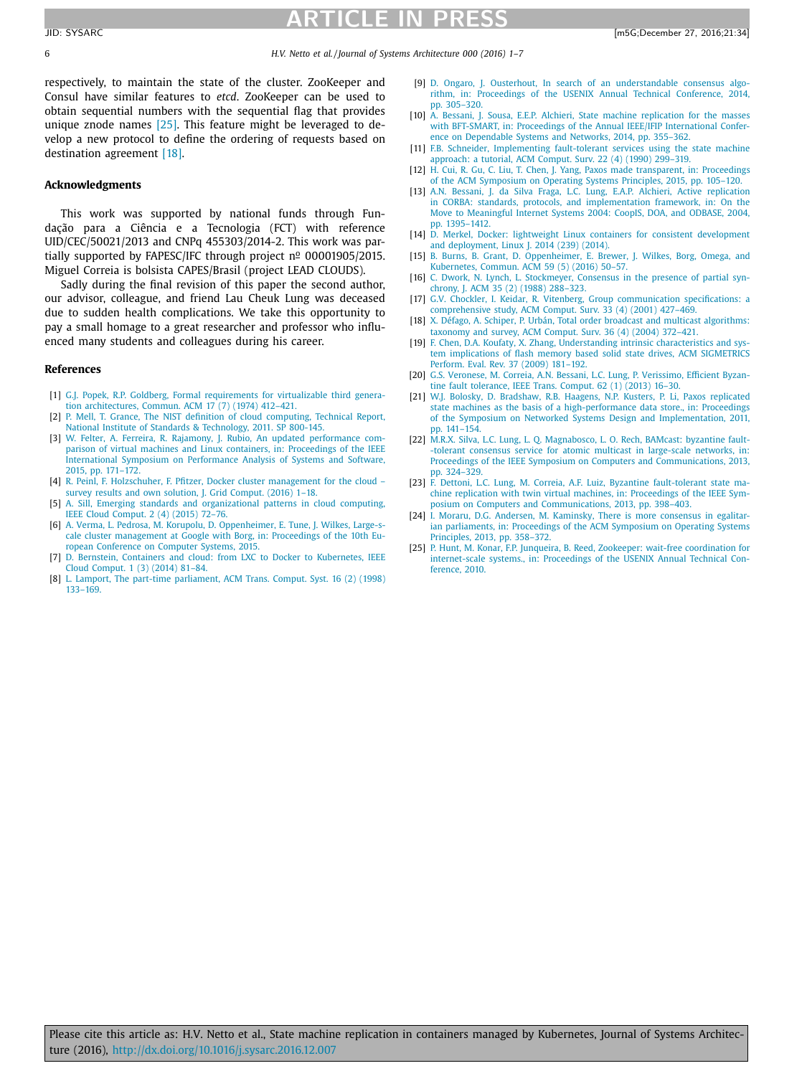## **ATICLE IN PRE**

<span id="page-5-0"></span>6 *H.V. Netto et al. / Journal of Systems Architecture 000 (2016) 1–7*

respectively, to maintain the state of the cluster. ZooKeeper and Consul have similar features to *etcd*. ZooKeeper can be used to obtain sequential numbers with the sequential flag that provides unique znode names [25]. This feature might be leveraged to develop a new protocol to define the ordering of requests based on destination agreement [18].

#### **Acknowledgments**

This work was supported by national funds through Fundação para a Ciência e a Tecnologia (FCT) with reference UID/CEC/50021/2013 and CNPq 455303/2014-2. This work was partially supported by FAPESC/IFC through project  $n^{\circ}$  00001905/2015. Miguel Correia is bolsista CAPES/Brasil (project LEAD CLOUDS).

Sadly during the final revision of this paper the second author, our advisor, colleague, and friend Lau Cheuk Lung was deceased due to sudden health complications. We take this opportunity to pay a small homage to a great researcher and professor who influenced many students and colleagues during his career.

#### **References**

- [1] G.J. [Popek,](http://refhub.elsevier.com/S1383-7621(16)30275-2/sbref0001) R.P. [Goldberg,](http://refhub.elsevier.com/S1383-7621(16)30275-2/sbref0001) Formal requirements for virtualizable third generation [architectures,](http://refhub.elsevier.com/S1383-7621(16)30275-2/sbref0001) Commun. ACM 17 (7) (1974) 412–421.
- [2] P. [Mell,](http://refhub.elsevier.com/S1383-7621(16)30275-2/sbref0002) T. [Grance,](http://refhub.elsevier.com/S1383-7621(16)30275-2/sbref0002) The NIST definition of cloud [computing, Technical](http://refhub.elsevier.com/S1383-7621(16)30275-2/sbref0002) Report, National Institute of Standards & Technology, 2011. SP [800-145.](http://refhub.elsevier.com/S1383-7621(16)30275-2/sbref0002)
- [3] W. [Felter,](http://refhub.elsevier.com/S1383-7621(16)30275-2/sbref0003) A. [Ferreira,](http://refhub.elsevier.com/S1383-7621(16)30275-2/sbref0003) R. [Rajamony,](http://refhub.elsevier.com/S1383-7621(16)30275-2/sbref0003) J. [Rubio,](http://refhub.elsevier.com/S1383-7621(16)30275-2/sbref0003) An updated performance comparison of virtual machines and Linux containers, in: Proceedings of the IEEE [International](http://refhub.elsevier.com/S1383-7621(16)30275-2/sbref0003) Symposium on Performance Analysis of Systems and Software, 2015, pp. 171–172.
- [4] R. [Peinl,](http://refhub.elsevier.com/S1383-7621(16)30275-2/sbref0004) F. [Holzschuher,](http://refhub.elsevier.com/S1383-7621(16)30275-2/sbref0004) F. [Pfitzer,](http://refhub.elsevier.com/S1383-7621(16)30275-2/sbref0004) Docker cluster [management](http://refhub.elsevier.com/S1383-7621(16)30275-2/sbref0004) for the cloud survey results and own solution. J. Grid Comput. (2016) 1-18.
- [5] A. [Sill,](http://refhub.elsevier.com/S1383-7621(16)30275-2/sbref0005) Emerging standards and [organizational](http://refhub.elsevier.com/S1383-7621(16)30275-2/sbref0005) patterns in cloud computing, IEEE Cloud Comput. 2 (4) (2015) 72–76.
- [6] A. [Verma,](http://refhub.elsevier.com/S1383-7621(16)30275-2/sbref0006) L. [Pedrosa,](http://refhub.elsevier.com/S1383-7621(16)30275-2/sbref0006) M. [Korupolu,](http://refhub.elsevier.com/S1383-7621(16)30275-2/sbref0006) D. [Oppenheimer,](http://refhub.elsevier.com/S1383-7621(16)30275-2/sbref0006) E. [Tune,](http://refhub.elsevier.com/S1383-7621(16)30275-2/sbref0006) J. [Wilkes,](http://refhub.elsevier.com/S1383-7621(16)30275-2/sbref0006) Large-scale cluster management at Google with Borg, in: Proceedings of the 10th European Conference on Computer Systems, 2015.
- [7] D. [Bernstein,](http://refhub.elsevier.com/S1383-7621(16)30275-2/sbref0007) Containers and cloud: from LXC to Docker to [Kubernetes,](http://refhub.elsevier.com/S1383-7621(16)30275-2/sbref0007) IEEE Cloud Comput. 1 (3) (2014) 81–84.
- [8] L. [Lamport,](http://refhub.elsevier.com/S1383-7621(16)30275-2/sbref0008) The part-time [parliament,](http://refhub.elsevier.com/S1383-7621(16)30275-2/sbref0008) ACM Trans. Comput. Syst. 16 (2) (1998) 133–169.
- [9] D. [Ongaro,](http://refhub.elsevier.com/S1383-7621(16)30275-2/sbref0009) J. [Ousterhout,](http://refhub.elsevier.com/S1383-7621(16)30275-2/sbref0009) In search of an [understandable](http://refhub.elsevier.com/S1383-7621(16)30275-2/sbref0009) consensus algorithm, in: Proceedings of the USENIX Annual Technical Conference, 2014, pp. 305–320.
- [10] A. [Bessani,](http://refhub.elsevier.com/S1383-7621(16)30275-2/sbref0010) J. [Sousa,](http://refhub.elsevier.com/S1383-7621(16)30275-2/sbref0010) E.E.P. [Alchieri,](http://refhub.elsevier.com/S1383-7621(16)30275-2/sbref0010) State machine replication for the masses with BFT-SMART, in: Proceedings of the Annual IEEE/IFIP [International](http://refhub.elsevier.com/S1383-7621(16)30275-2/sbref0010) Conference on Dependable Systems and Networks, 2014, pp. 355–362.
- [11] F.B. [Schneider,](http://refhub.elsevier.com/S1383-7621(16)30275-2/sbref0011) [Implementing](http://refhub.elsevier.com/S1383-7621(16)30275-2/sbref0011) fault-tolerant services using the state machine approach: a tutorial, ACM Comput. Surv. 22 (4) (1990) 299–319. [12] H. [Cui,](http://refhub.elsevier.com/S1383-7621(16)30275-2/sbref0012) R. [Gu,](http://refhub.elsevier.com/S1383-7621(16)30275-2/sbref0012) C. [Liu,](http://refhub.elsevier.com/S1383-7621(16)30275-2/sbref0012) T. [Chen,](http://refhub.elsevier.com/S1383-7621(16)30275-2/sbref0012) J. [Yang,](http://refhub.elsevier.com/S1383-7621(16)30275-2/sbref0012) Paxos made [transparent,](http://refhub.elsevier.com/S1383-7621(16)30275-2/sbref0012) in: Proceedings
- of the ACM Symposium on Operating Systems Principles, 2015, pp. 105–120.
- [13] A.N. [Bessani,](http://refhub.elsevier.com/S1383-7621(16)30275-2/sbref0013) J. da Silva [Fraga,](http://refhub.elsevier.com/S1383-7621(16)30275-2/sbref0013) L.C. [Lung,](http://refhub.elsevier.com/S1383-7621(16)30275-2/sbref0013) E.A.P. [Alchieri,](http://refhub.elsevier.com/S1383-7621(16)30275-2/sbref0013) Active replication in CORBA: standards, protocols, and [implementation](http://refhub.elsevier.com/S1383-7621(16)30275-2/sbref0013) framework, in: On the Move to Meaningful Internet Systems 2004: CoopIS, DOA, and ODBASE, 2004, pp. 1395–1412.
- [14] D. [Merkel,](http://refhub.elsevier.com/S1383-7621(16)30275-2/sbref0014) Docker: lightweight Linux containers for consistent [development](http://refhub.elsevier.com/S1383-7621(16)30275-2/sbref0014) and deployment, Linux J. 2014 (239) (2014).
- [15] B. [Burns,](http://refhub.elsevier.com/S1383-7621(16)30275-2/sbref0015) B. [Grant,](http://refhub.elsevier.com/S1383-7621(16)30275-2/sbref0015) D. [Oppenheimer,](http://refhub.elsevier.com/S1383-7621(16)30275-2/sbref0015) E. [Brewer,](http://refhub.elsevier.com/S1383-7621(16)30275-2/sbref0015) J. [Wilkes,](http://refhub.elsevier.com/S1383-7621(16)30275-2/sbref0015) Borg, Omega, and Kubernetes, Commun. ACM 59 (5) (2016) 50–57.
- [16] C. [Dwork,](http://refhub.elsevier.com/S1383-7621(16)30275-2/sbref0016) N. [Lynch,](http://refhub.elsevier.com/S1383-7621(16)30275-2/sbref0016) L. [Stockmeyer,](http://refhub.elsevier.com/S1383-7621(16)30275-2/sbref0016) Consensus in the presence of partial synchrony, J. ACM 35 (2) (1988) 288–323.
- [17] G.V. [Chockler,](http://refhub.elsevier.com/S1383-7621(16)30275-2/sbref0017) I. [Keidar,](http://refhub.elsevier.com/S1383-7621(16)30275-2/sbref0017) R. [Vitenberg,](http://refhub.elsevier.com/S1383-7621(16)30275-2/sbref0017) Group [communication](http://refhub.elsevier.com/S1383-7621(16)30275-2/sbref0017) specifications: a comprehensive study, ACM Comput. Surv. 33 (4) (2001) 427–469.
- [18] X. [Défago,](http://refhub.elsevier.com/S1383-7621(16)30275-2/sbref0018) A. [Schiper,](http://refhub.elsevier.com/S1383-7621(16)30275-2/sbref0018) P. [Urbán,](http://refhub.elsevier.com/S1383-7621(16)30275-2/sbref0018) Total order broadcast and multicast [algorithms:](http://refhub.elsevier.com/S1383-7621(16)30275-2/sbref0018) taxonomy and survey, ACM Comput. Surv. 36 (4) (2004) 372–421.
- [19] F. [Chen,](http://refhub.elsevier.com/S1383-7621(16)30275-2/sbref0019) D.A. [Koufaty,](http://refhub.elsevier.com/S1383-7621(16)30275-2/sbref0019) X. [Zhang,](http://refhub.elsevier.com/S1383-7621(16)30275-2/sbref0019) [Understanding](http://refhub.elsevier.com/S1383-7621(16)30275-2/sbref0019) intrinsic characteristics and system implications of flash memory based solid state drives, ACM SIGMETRICS Perform. Eval. Rev. 37 (2009) 181–192.
- [20] G.S. [Veronese,](http://refhub.elsevier.com/S1383-7621(16)30275-2/sbref0020) M. [Correia,](http://refhub.elsevier.com/S1383-7621(16)30275-2/sbref0020) A.N. [Bessani,](http://refhub.elsevier.com/S1383-7621(16)30275-2/sbref0020) L.C. [Lung,](http://refhub.elsevier.com/S1383-7621(16)30275-2/sbref0020) P. [Verissimo,](http://refhub.elsevier.com/S1383-7621(16)30275-2/sbref0020) Efficient Byzantine fault tolerance, IEEE Trans. Comput. 62 (1) (2013) 16–30.
- [21] W.J. [Bolosky,](http://refhub.elsevier.com/S1383-7621(16)30275-2/sbref0021) D. [Bradshaw,](http://refhub.elsevier.com/S1383-7621(16)30275-2/sbref0021) R.B. [Haagens,](http://refhub.elsevier.com/S1383-7621(16)30275-2/sbref0021) N.P. [Kusters,](http://refhub.elsevier.com/S1383-7621(16)30275-2/sbref0021) P. [Li,](http://refhub.elsevier.com/S1383-7621(16)30275-2/sbref0021) Paxos replicated state machines as the basis of a [high-performance](http://refhub.elsevier.com/S1383-7621(16)30275-2/sbref0021) data store., in: Proceedings of the Symposium on Networked Systems Design and Implementation, 2011, pp. 141–154.
- [22] [M.R.X.](http://refhub.elsevier.com/S1383-7621(16)30275-2/sbref0022) Silva, L.C. [Lung,](http://refhub.elsevier.com/S1383-7621(16)30275-2/sbref0022) L. Q. [Magnabosco,](http://refhub.elsevier.com/S1383-7621(16)30275-2/sbref0022) L. O. [Rech,](http://refhub.elsevier.com/S1383-7621(16)30275-2/sbref0022) BAMcast: byzantine fault--tolerant consensus service for atomic multicast in large-scale networks, in: Proceedings of the IEEE Symposium on Computers and [Communications,](http://refhub.elsevier.com/S1383-7621(16)30275-2/sbref0022) 2013, pp. 324–329.
- [23] F. [Dettoni,](http://refhub.elsevier.com/S1383-7621(16)30275-2/sbref0023) L.C. [Lung,](http://refhub.elsevier.com/S1383-7621(16)30275-2/sbref0023) M. [Correia,](http://refhub.elsevier.com/S1383-7621(16)30275-2/sbref0023) A.F. [Luiz,](http://refhub.elsevier.com/S1383-7621(16)30275-2/sbref0023) Byzantine fault-tolerant state machine replication with twin virtual machines, in: Proceedings of the IEEE Symposium on Computers and [Communications,](http://refhub.elsevier.com/S1383-7621(16)30275-2/sbref0023) 2013, pp. 398–403.
- [24] I. [Moraru,](http://refhub.elsevier.com/S1383-7621(16)30275-2/sbref0024) D.G. [Andersen,](http://refhub.elsevier.com/S1383-7621(16)30275-2/sbref0024) M. [Kaminsky,](http://refhub.elsevier.com/S1383-7621(16)30275-2/sbref0024) There is more consensus in egalitarian [parliaments,](http://refhub.elsevier.com/S1383-7621(16)30275-2/sbref0024) in: Proceedings of the ACM Symposium on Operating Systems Principles, 2013, pp. 358–372.
- [25] P. [Hunt,](http://refhub.elsevier.com/S1383-7621(16)30275-2/sbref0025) M. [Konar,](http://refhub.elsevier.com/S1383-7621(16)30275-2/sbref0025) F.P. [Junqueira,](http://refhub.elsevier.com/S1383-7621(16)30275-2/sbref0025) B. [Reed,](http://refhub.elsevier.com/S1383-7621(16)30275-2/sbref0025) Zookeeper: wait-free coordination for [internet-scale](http://refhub.elsevier.com/S1383-7621(16)30275-2/sbref0025) systems., in: Proceedings of the USENIX Annual Technical Conference, 2010.